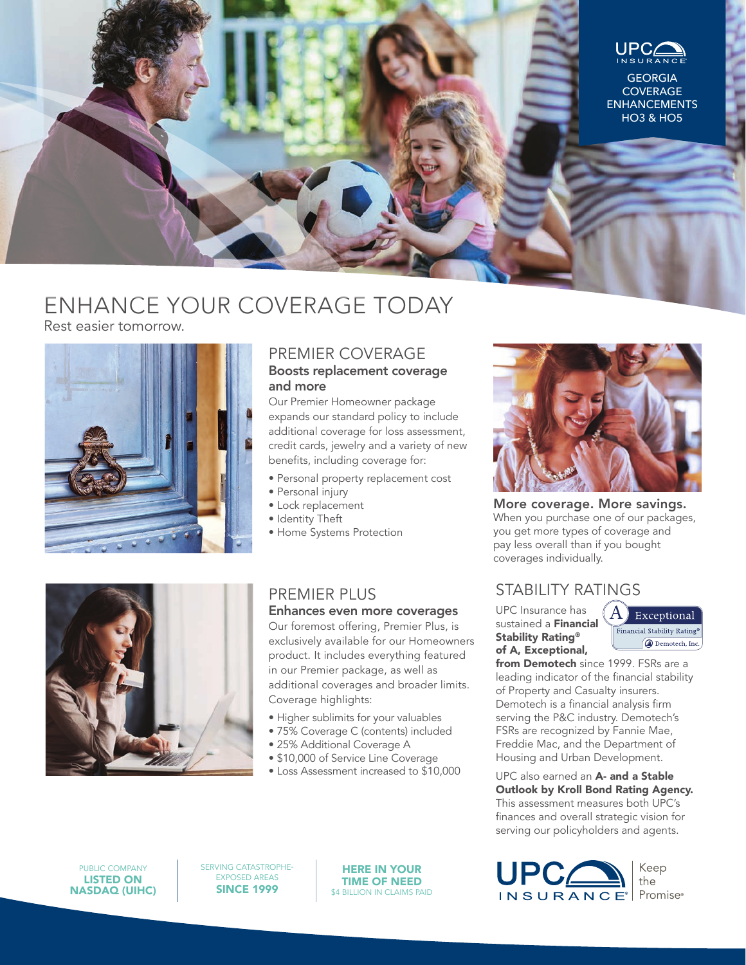

# ENHANCE YOUR COVERAGE TODAY

Rest easier tomorrow.



### PREMIER COVERAGE

#### Boosts replacement coverage and more

Our Premier Homeowner package expands our standard policy to include additional coverage for loss assessment, credit cards, jewelry and a variety of new benefits, including coverage for:

- Personal property replacement cost
- Personal injury
- Lock replacement
- Identity Theft
- Home Systems Protection



### PREMIER PLUS

#### Enhances even more coverages

Our foremost offering, Premier Plus, is exclusively available for our Homeowners product. It includes everything featured in our Premier package, as well as additional coverages and broader limits. Coverage highlights:

- Higher sublimits for your valuables
- 75% Coverage C (contents) included
- 25% Additional Coverage A
- \$10,000 of Service Line Coverage
- Loss Assessment increased to \$10,000



More coverage. More savings. When you purchase one of our packages, you get more types of coverage and pay less overall than if you bought coverages individually.

## STABILITY RATINGS

UPC Insurance has sustained a Financial Stability Rating® of A, Exceptional,



from Demotech since 1999. FSRs are a leading indicator of the financial stability of Property and Casualty insurers. Demotech is a financial analysis firm serving the P&C industry. Demotech's FSRs are recognized by Fannie Mae, Freddie Mac, and the Department of Housing and Urban Development.

UPC also earned an A- and a Stable Outlook by Kroll Bond Rating Agency. This assessment measures both UPC's finances and overall strategic vision for serving our policyholders and agents.



SERVING CATASTROPHE-EXPOSED AREAS SINCE 1999

HERE IN YOUR TIME OF NEED \$4 BILLION IN CLAIMS PAID